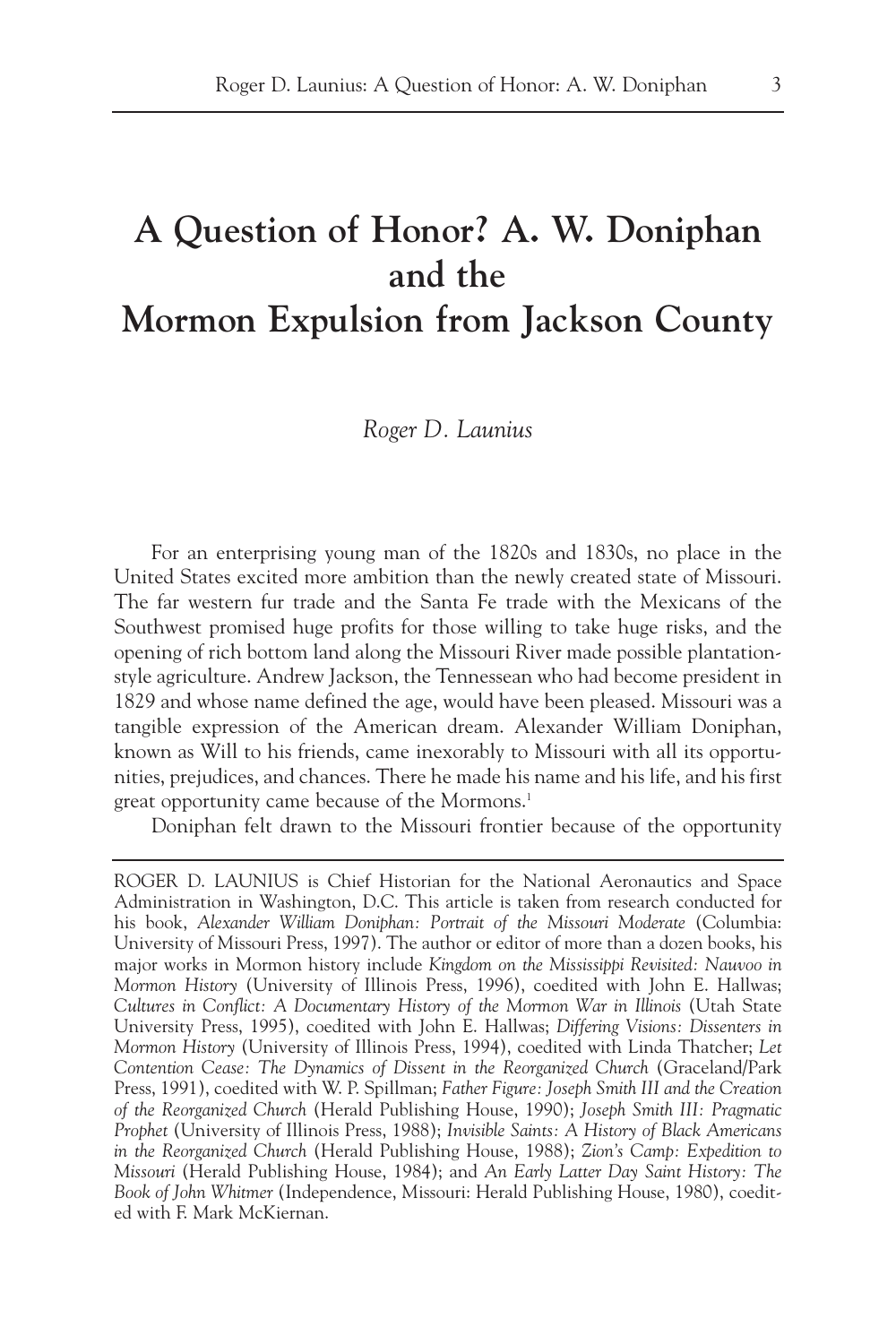## **A Question of Honor? A. W. Doniphan and the**

## **Mormon Expulsion from Jackson County**

## *Roger D. Launius*

For an enterprising young man of the 1820s and 1830s, no place in the United States excited more ambition than the newly created state of Missouri. The far western fur trade and the Santa Fe trade with the Mexicans of the Southwest promised huge profits for those willing to take huge risks, and the opening of rich bottom land along the Missouri River made possible plantationstyle agriculture. Andrew Jackson, the Tennessean who had become president in 1829 and whose name defined the age, would have been pleased. Missouri was a tangible expression of the American dream. Alexander William Doniphan, known as Will to his friends, came inexorably to Missouri with all its opportunities, prejudices, and chances. There he made his name and his life, and his first great opportunity came because of the Mormons.<sup>1</sup>

Doniphan felt drawn to the Missouri frontier because of the opportunity

ROGER D. LAUNIUS is Chief Historian for the National Aeronautics and Space Administration in Washington, D.C. This article is taken from research conducted for his book, *Alexander William Doniphan: Portrait of the Missouri Moderate* (Columbia: University of Missouri Press, 1997). The author or editor of more than a dozen books, his major works in Mormon history include *Kingdom on the Mississippi Revisited: Nauvoo in Mormon History* (University of Illinois Press, 1996), coedited with John E. Hallwas; *Cultures in Conflict: A Documentary History of the Mormon War in Illinois* (Utah State University Press, 1995), coedited with John E. Hallwas; *Differing Visions: Dissenters in Mormon History* (University of Illinois Press, 1994), coedited with Linda Thatcher; *Let Contention Cease: The Dynamics of Dissent in the Reorganized Church* (Graceland/Park Press, 1991), coedited with W. P. Spillman; *Father Figure: Joseph Smith III and the Creation of the Reorganized Church* (Herald Publishing House, 1990); *Joseph Smith III: Pragmatic Prophet* (University of Illinois Press, 1988); *Invisible Saints: A History of Black Americans in the Reorganized Church* (Herald Publishing House, 1988); *Zion's Camp: Expedition to Missouri* (Herald Publishing House, 1984); and *An Early Latter Day Saint History: The Book of John Whitmer* (Independence, Missouri: Herald Publishing House, 1980), coedited with F. Mark McKiernan.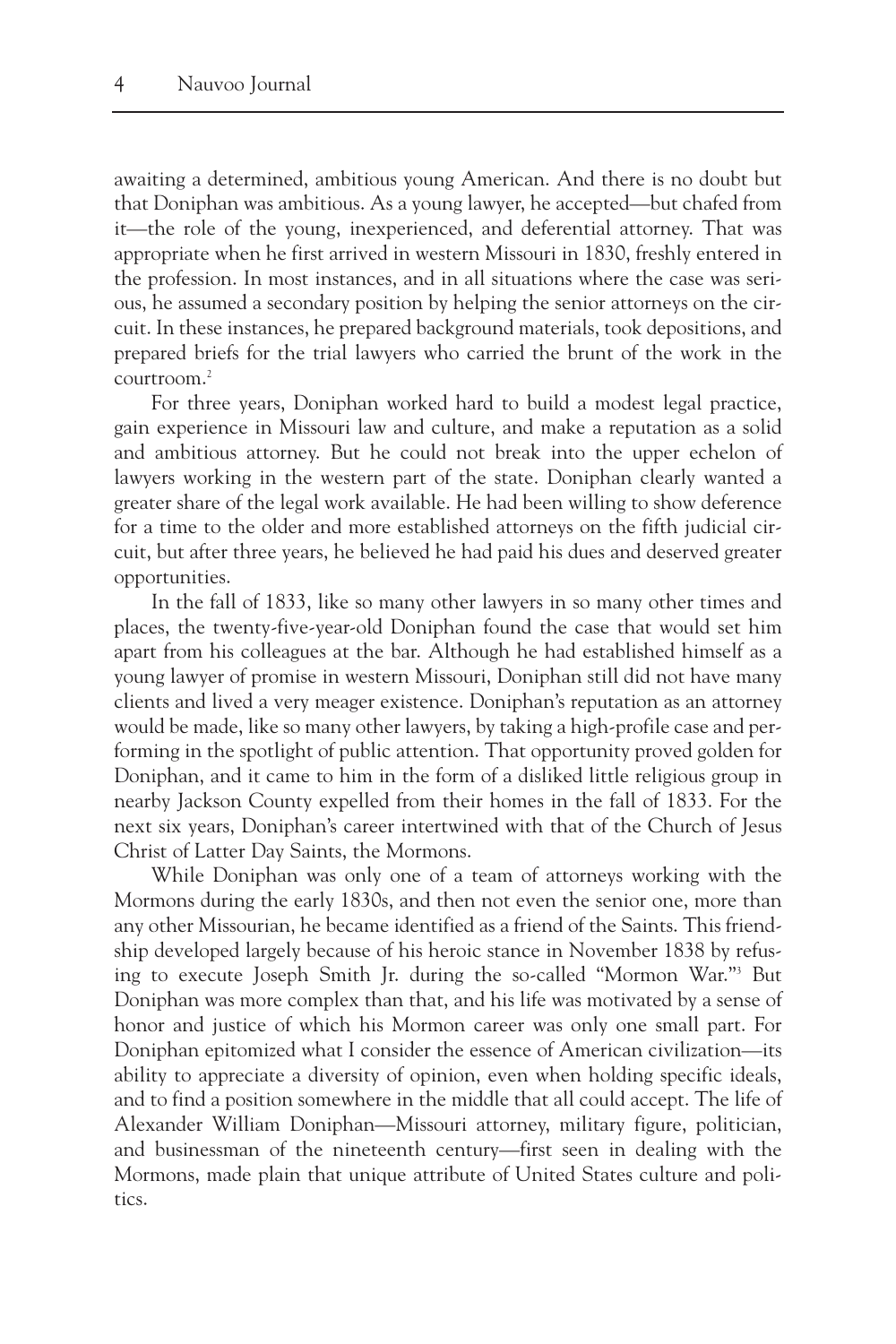awaiting a determined, ambitious young American. And there is no doubt but that Doniphan was ambitious. As a young lawyer, he accepted—but chafed from it—the role of the young, inexperienced, and deferential attorney. That was appropriate when he first arrived in western Missouri in 1830, freshly entered in the profession. In most instances, and in all situations where the case was serious, he assumed a secondary position by helping the senior attorneys on the circuit. In these instances, he prepared background materials, took depositions, and prepared briefs for the trial lawyers who carried the brunt of the work in the courtroom.2

For three years, Doniphan worked hard to build a modest legal practice, gain experience in Missouri law and culture, and make a reputation as a solid and ambitious attorney. But he could not break into the upper echelon of lawyers working in the western part of the state. Doniphan clearly wanted a greater share of the legal work available. He had been willing to show deference for a time to the older and more established attorneys on the fifth judicial circuit, but after three years, he believed he had paid his dues and deserved greater opportunities.

In the fall of 1833, like so many other lawyers in so many other times and places, the twenty-five-year-old Doniphan found the case that would set him apart from his colleagues at the bar. Although he had established himself as a young lawyer of promise in western Missouri, Doniphan still did not have many clients and lived a very meager existence. Doniphan's reputation as an attorney would be made, like so many other lawyers, by taking a high-profile case and performing in the spotlight of public attention. That opportunity proved golden for Doniphan, and it came to him in the form of a disliked little religious group in nearby Jackson County expelled from their homes in the fall of 1833. For the next six years, Doniphan's career intertwined with that of the Church of Jesus Christ of Latter Day Saints, the Mormons.

While Doniphan was only one of a team of attorneys working with the Mormons during the early 1830s, and then not even the senior one, more than any other Missourian, he became identified as a friend of the Saints. This friendship developed largely because of his heroic stance in November 1838 by refusing to execute Joseph Smith Jr. during the so-called "Mormon War."3 But Doniphan was more complex than that, and his life was motivated by a sense of honor and justice of which his Mormon career was only one small part. For Doniphan epitomized what I consider the essence of American civilization—its ability to appreciate a diversity of opinion, even when holding specific ideals, and to find a position somewhere in the middle that all could accept. The life of Alexander William Doniphan—Missouri attorney, military figure, politician, and businessman of the nineteenth century—first seen in dealing with the Mormons, made plain that unique attribute of United States culture and politics.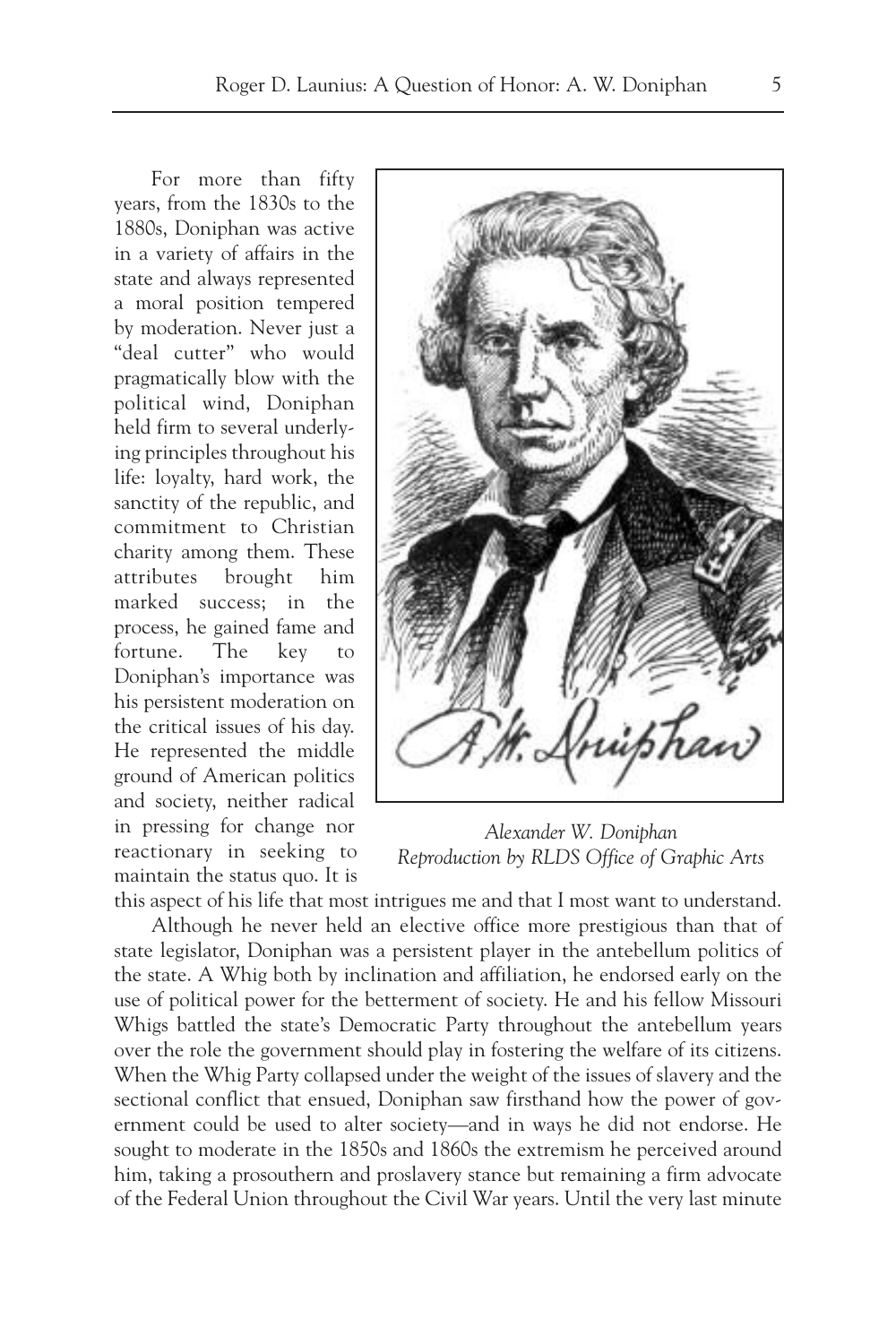For more than fifty years, from the 1830s to the 1880s, Doniphan was active in a variety of affairs in the state and always represented a moral position tempered by moderation. Never just a "deal cutter" who would pragmatically blow with the political wind, Doniphan held firm to several underlying principles throughout his life: loyalty, hard work, the sanctity of the republic, and commitment to Christian charity among them. These attributes brought him marked success; in the process, he gained fame and fortune. The key to Doniphan's importance was his persistent moderation on the critical issues of his day. He represented the middle ground of American politics and society, neither radical in pressing for change nor reactionary in seeking to maintain the status quo. It is



*Alexander W. Doniphan Reproduction by RLDS Office of Graphic Arts*

this aspect of his life that most intrigues me and that I most want to understand. Although he never held an elective office more prestigious than that of state legislator, Doniphan was a persistent player in the antebellum politics of the state. A Whig both by inclination and affiliation, he endorsed early on the use of political power for the betterment of society. He and his fellow Missouri Whigs battled the state's Democratic Party throughout the antebellum years over the role the government should play in fostering the welfare of its citizens. When the Whig Party collapsed under the weight of the issues of slavery and the sectional conflict that ensued, Doniphan saw firsthand how the power of government could be used to alter society—and in ways he did not endorse. He sought to moderate in the 1850s and 1860s the extremism he perceived around him, taking a prosouthern and proslavery stance but remaining a firm advocate of the Federal Union throughout the Civil War years. Until the very last minute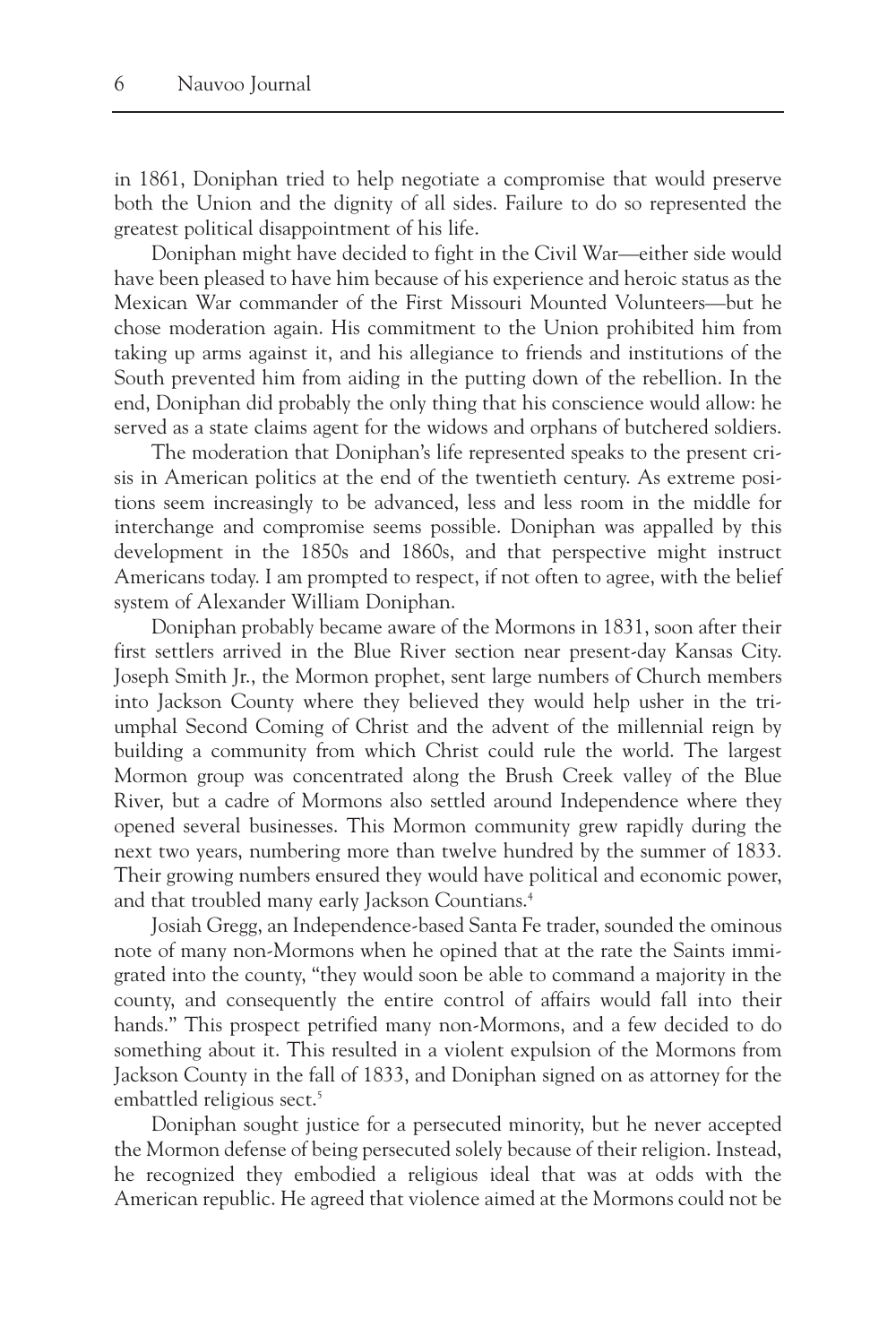in 1861, Doniphan tried to help negotiate a compromise that would preserve both the Union and the dignity of all sides. Failure to do so represented the greatest political disappointment of his life.

Doniphan might have decided to fight in the Civil War—either side would have been pleased to have him because of his experience and heroic status as the Mexican War commander of the First Missouri Mounted Volunteers—but he chose moderation again. His commitment to the Union prohibited him from taking up arms against it, and his allegiance to friends and institutions of the South prevented him from aiding in the putting down of the rebellion. In the end, Doniphan did probably the only thing that his conscience would allow: he served as a state claims agent for the widows and orphans of butchered soldiers.

The moderation that Doniphan's life represented speaks to the present crisis in American politics at the end of the twentieth century. As extreme positions seem increasingly to be advanced, less and less room in the middle for interchange and compromise seems possible. Doniphan was appalled by this development in the 1850s and 1860s, and that perspective might instruct Americans today. I am prompted to respect, if not often to agree, with the belief system of Alexander William Doniphan.

Doniphan probably became aware of the Mormons in 1831, soon after their first settlers arrived in the Blue River section near present-day Kansas City. Joseph Smith Jr., the Mormon prophet, sent large numbers of Church members into Jackson County where they believed they would help usher in the triumphal Second Coming of Christ and the advent of the millennial reign by building a community from which Christ could rule the world. The largest Mormon group was concentrated along the Brush Creek valley of the Blue River, but a cadre of Mormons also settled around Independence where they opened several businesses. This Mormon community grew rapidly during the next two years, numbering more than twelve hundred by the summer of 1833. Their growing numbers ensured they would have political and economic power, and that troubled many early Jackson Countians.<sup>4</sup>

Josiah Gregg, an Independence-based Santa Fe trader, sounded the ominous note of many non-Mormons when he opined that at the rate the Saints immigrated into the county, "they would soon be able to command a majority in the county, and consequently the entire control of affairs would fall into their hands." This prospect petrified many non-Mormons, and a few decided to do something about it. This resulted in a violent expulsion of the Mormons from Jackson County in the fall of 1833, and Doniphan signed on as attorney for the embattled religious sect.<sup>5</sup>

Doniphan sought justice for a persecuted minority, but he never accepted the Mormon defense of being persecuted solely because of their religion. Instead, he recognized they embodied a religious ideal that was at odds with the American republic. He agreed that violence aimed at the Mormons could not be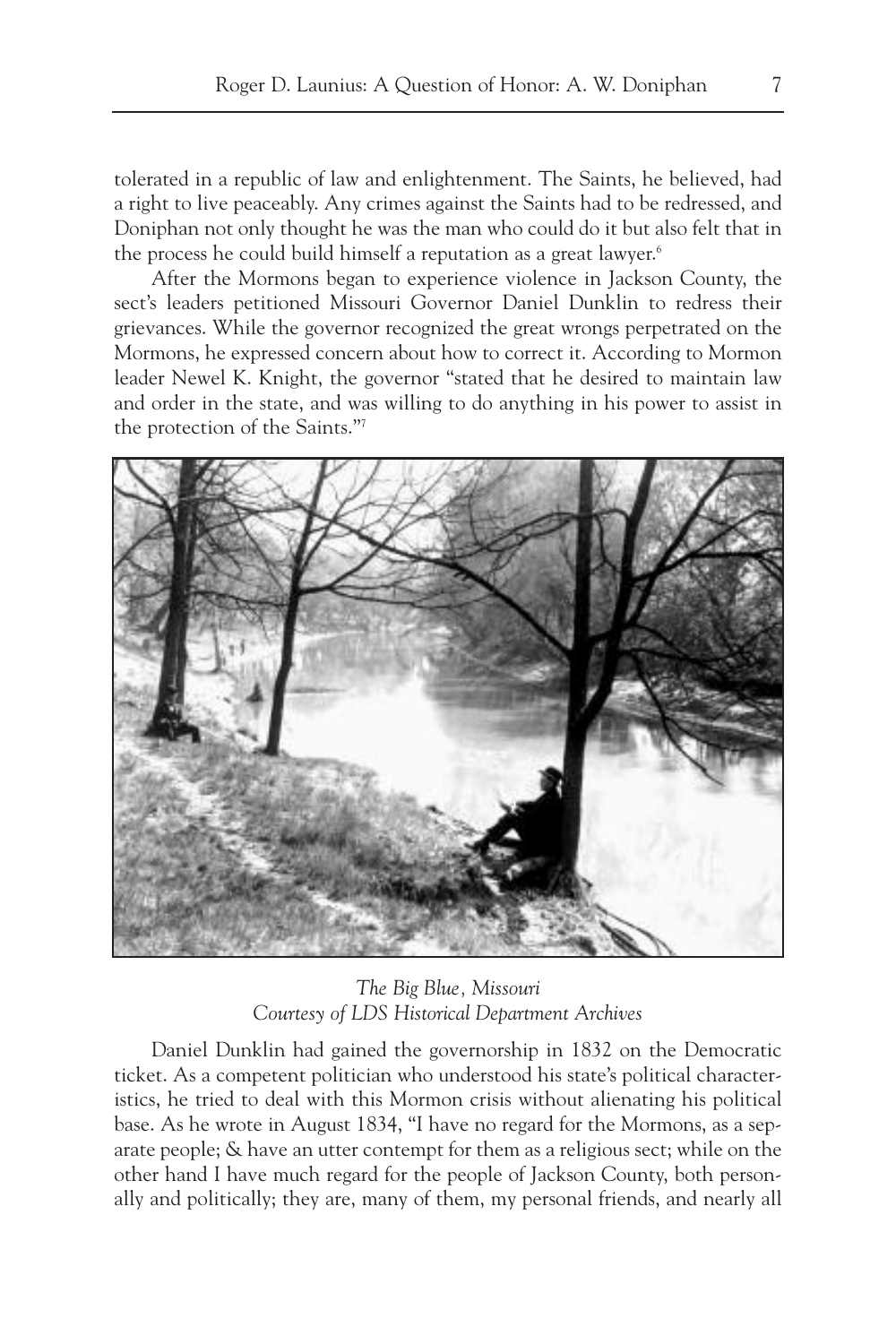tolerated in a republic of law and enlightenment. The Saints, he believed, had a right to live peaceably. Any crimes against the Saints had to be redressed, and Doniphan not only thought he was the man who could do it but also felt that in the process he could build himself a reputation as a great lawyer.<sup>6</sup>

After the Mormons began to experience violence in Jackson County, the sect's leaders petitioned Missouri Governor Daniel Dunklin to redress their grievances. While the governor recognized the great wrongs perpetrated on the Mormons, he expressed concern about how to correct it. According to Mormon leader Newel K. Knight, the governor "stated that he desired to maintain law and order in the state, and was willing to do anything in his power to assist in the protection of the Saints."7



*The Big Blue, Missouri Courtesy of LDS Historical Department Archives*

Daniel Dunklin had gained the governorship in 1832 on the Democratic ticket. As a competent politician who understood his state's political characteristics, he tried to deal with this Mormon crisis without alienating his political base. As he wrote in August 1834, "I have no regard for the Mormons, as a separate people; & have an utter contempt for them as a religious sect; while on the other hand I have much regard for the people of Jackson County, both personally and politically; they are, many of them, my personal friends, and nearly all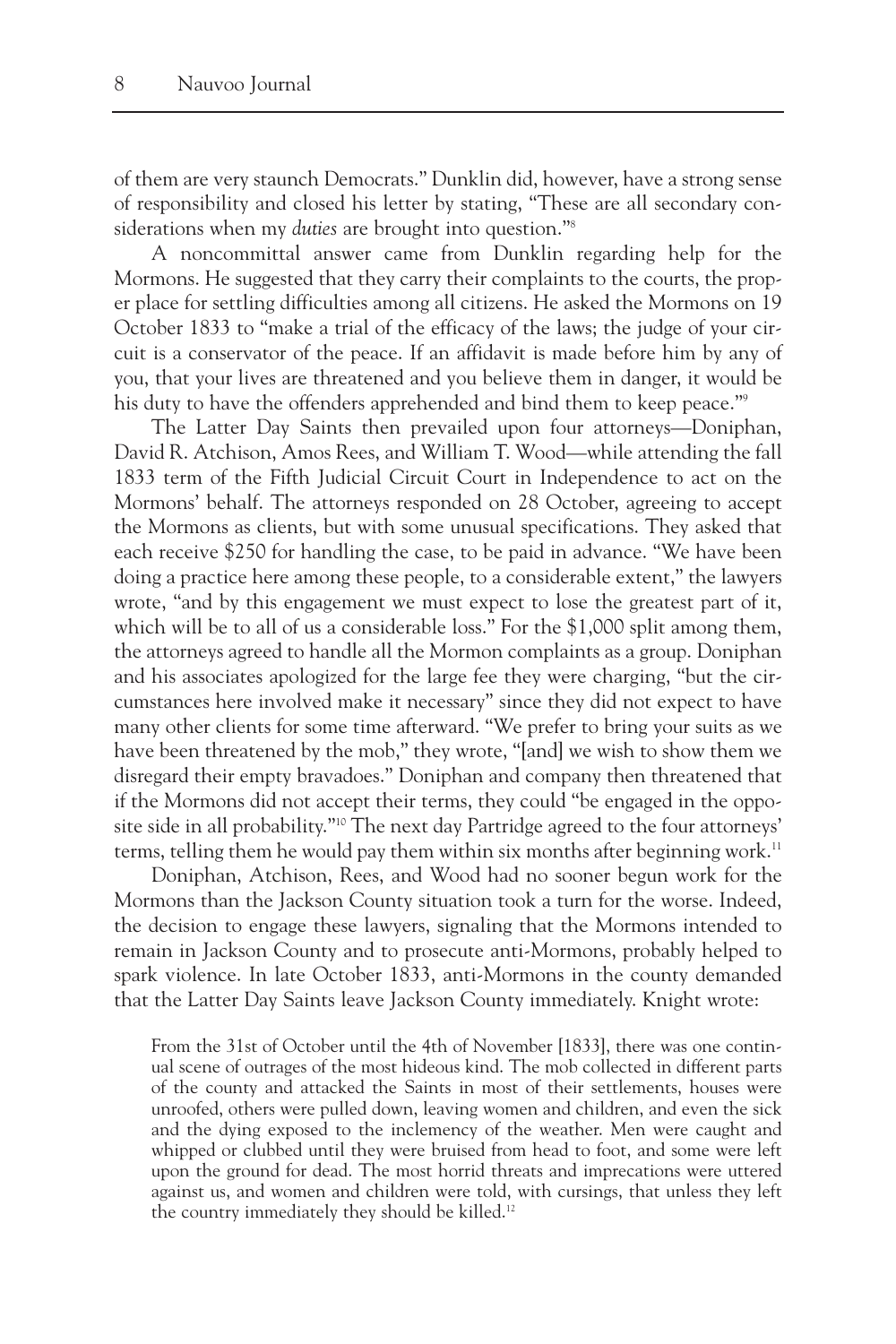of them are very staunch Democrats." Dunklin did, however, have a strong sense of responsibility and closed his letter by stating, "These are all secondary considerations when my *duties* are brought into question."8

A noncommittal answer came from Dunklin regarding help for the Mormons. He suggested that they carry their complaints to the courts, the proper place for settling difficulties among all citizens. He asked the Mormons on 19 October 1833 to "make a trial of the efficacy of the laws; the judge of your circuit is a conservator of the peace. If an affidavit is made before him by any of you, that your lives are threatened and you believe them in danger, it would be his duty to have the offenders apprehended and bind them to keep peace."<sup>9</sup>

The Latter Day Saints then prevailed upon four attorneys—Doniphan, David R. Atchison, Amos Rees, and William T. Wood—while attending the fall 1833 term of the Fifth Judicial Circuit Court in Independence to act on the Mormons' behalf. The attorneys responded on 28 October, agreeing to accept the Mormons as clients, but with some unusual specifications. They asked that each receive \$250 for handling the case, to be paid in advance. "We have been doing a practice here among these people, to a considerable extent," the lawyers wrote, "and by this engagement we must expect to lose the greatest part of it, which will be to all of us a considerable loss." For the \$1,000 split among them, the attorneys agreed to handle all the Mormon complaints as a group. Doniphan and his associates apologized for the large fee they were charging, "but the circumstances here involved make it necessary" since they did not expect to have many other clients for some time afterward. "We prefer to bring your suits as we have been threatened by the mob," they wrote, "[and] we wish to show them we disregard their empty bravadoes." Doniphan and company then threatened that if the Mormons did not accept their terms, they could "be engaged in the opposite side in all probability."10 The next day Partridge agreed to the four attorneys' terms, telling them he would pay them within six months after beginning work.<sup>11</sup>

Doniphan, Atchison, Rees, and Wood had no sooner begun work for the Mormons than the Jackson County situation took a turn for the worse. Indeed, the decision to engage these lawyers, signaling that the Mormons intended to remain in Jackson County and to prosecute anti-Mormons, probably helped to spark violence. In late October 1833, anti-Mormons in the county demanded that the Latter Day Saints leave Jackson County immediately. Knight wrote:

From the 31st of October until the 4th of November [1833], there was one continual scene of outrages of the most hideous kind. The mob collected in different parts of the county and attacked the Saints in most of their settlements, houses were unroofed, others were pulled down, leaving women and children, and even the sick and the dying exposed to the inclemency of the weather. Men were caught and whipped or clubbed until they were bruised from head to foot, and some were left upon the ground for dead. The most horrid threats and imprecations were uttered against us, and women and children were told, with cursings, that unless they left the country immediately they should be killed.<sup>12</sup>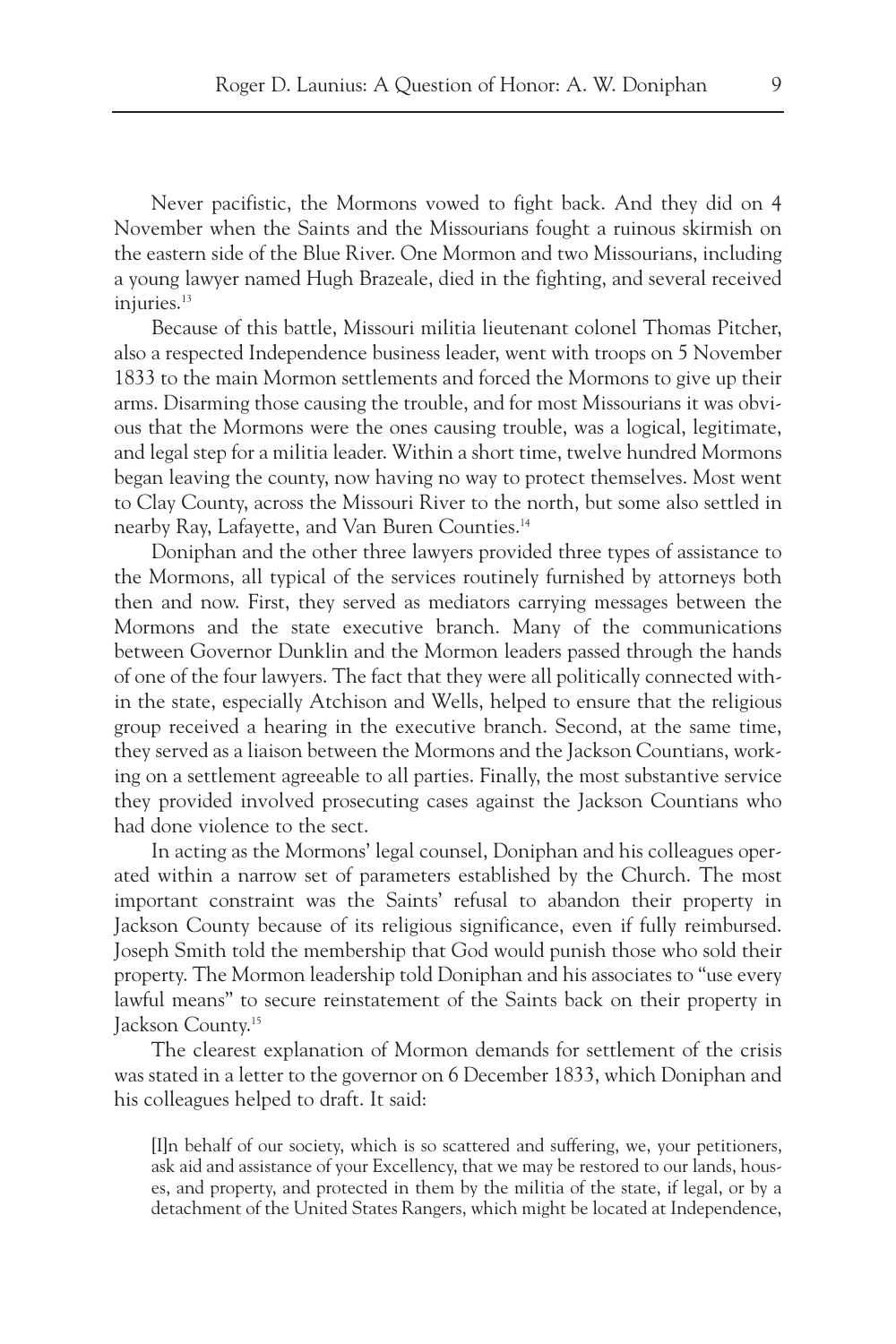Never pacifistic, the Mormons vowed to fight back. And they did on 4 November when the Saints and the Missourians fought a ruinous skirmish on the eastern side of the Blue River. One Mormon and two Missourians, including a young lawyer named Hugh Brazeale, died in the fighting, and several received injuries.<sup>13</sup>

Because of this battle, Missouri militia lieutenant colonel Thomas Pitcher, also a respected Independence business leader, went with troops on 5 November 1833 to the main Mormon settlements and forced the Mormons to give up their arms. Disarming those causing the trouble, and for most Missourians it was obvious that the Mormons were the ones causing trouble, was a logical, legitimate, and legal step for a militia leader. Within a short time, twelve hundred Mormons began leaving the county, now having no way to protect themselves. Most went to Clay County, across the Missouri River to the north, but some also settled in nearby Ray, Lafayette, and Van Buren Counties.14

Doniphan and the other three lawyers provided three types of assistance to the Mormons, all typical of the services routinely furnished by attorneys both then and now. First, they served as mediators carrying messages between the Mormons and the state executive branch. Many of the communications between Governor Dunklin and the Mormon leaders passed through the hands of one of the four lawyers. The fact that they were all politically connected within the state, especially Atchison and Wells, helped to ensure that the religious group received a hearing in the executive branch. Second, at the same time, they served as a liaison between the Mormons and the Jackson Countians, working on a settlement agreeable to all parties. Finally, the most substantive service they provided involved prosecuting cases against the Jackson Countians who had done violence to the sect.

In acting as the Mormons' legal counsel, Doniphan and his colleagues operated within a narrow set of parameters established by the Church. The most important constraint was the Saints' refusal to abandon their property in Jackson County because of its religious significance, even if fully reimbursed. Joseph Smith told the membership that God would punish those who sold their property. The Mormon leadership told Doniphan and his associates to "use every lawful means" to secure reinstatement of the Saints back on their property in Jackson County.15

The clearest explanation of Mormon demands for settlement of the crisis was stated in a letter to the governor on 6 December 1833, which Doniphan and his colleagues helped to draft. It said:

[I]n behalf of our society, which is so scattered and suffering, we, your petitioners, ask aid and assistance of your Excellency, that we may be restored to our lands, houses, and property, and protected in them by the militia of the state, if legal, or by a detachment of the United States Rangers, which might be located at Independence,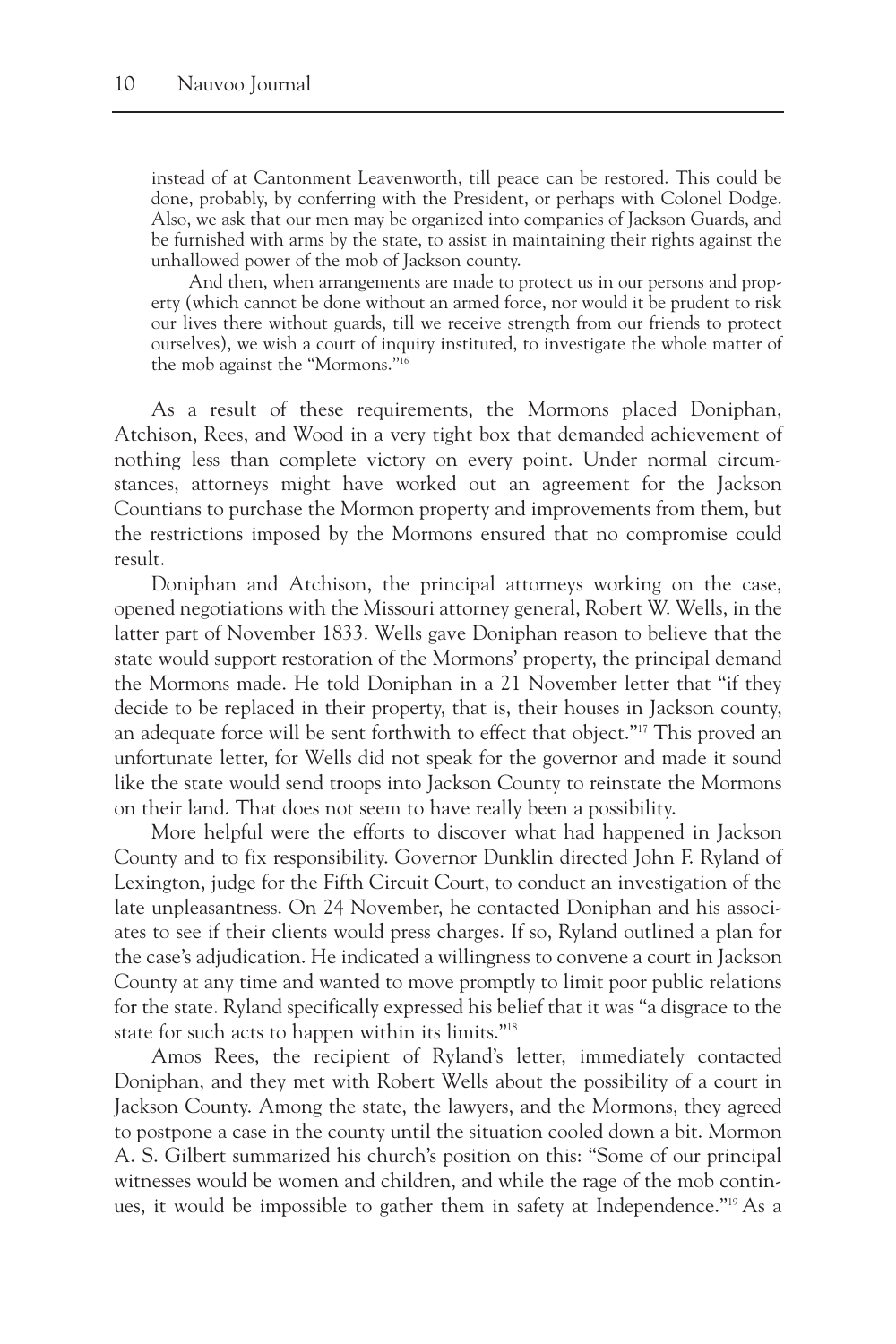instead of at Cantonment Leavenworth, till peace can be restored. This could be done, probably, by conferring with the President, or perhaps with Colonel Dodge. Also, we ask that our men may be organized into companies of Jackson Guards, and be furnished with arms by the state, to assist in maintaining their rights against the unhallowed power of the mob of Jackson county.

And then, when arrangements are made to protect us in our persons and property (which cannot be done without an armed force, nor would it be prudent to risk our lives there without guards, till we receive strength from our friends to protect ourselves), we wish a court of inquiry instituted, to investigate the whole matter of the mob against the "Mormons."16

As a result of these requirements, the Mormons placed Doniphan, Atchison, Rees, and Wood in a very tight box that demanded achievement of nothing less than complete victory on every point. Under normal circumstances, attorneys might have worked out an agreement for the Jackson Countians to purchase the Mormon property and improvements from them, but the restrictions imposed by the Mormons ensured that no compromise could result.

Doniphan and Atchison, the principal attorneys working on the case, opened negotiations with the Missouri attorney general, Robert W. Wells, in the latter part of November 1833. Wells gave Doniphan reason to believe that the state would support restoration of the Mormons' property, the principal demand the Mormons made. He told Doniphan in a 21 November letter that "if they decide to be replaced in their property, that is, their houses in Jackson county, an adequate force will be sent forthwith to effect that object."<sup>17</sup> This proved an unfortunate letter, for Wells did not speak for the governor and made it sound like the state would send troops into Jackson County to reinstate the Mormons on their land. That does not seem to have really been a possibility.

More helpful were the efforts to discover what had happened in Jackson County and to fix responsibility. Governor Dunklin directed John F. Ryland of Lexington, judge for the Fifth Circuit Court, to conduct an investigation of the late unpleasantness. On 24 November, he contacted Doniphan and his associates to see if their clients would press charges. If so, Ryland outlined a plan for the case's adjudication. He indicated a willingness to convene a court in Jackson County at any time and wanted to move promptly to limit poor public relations for the state. Ryland specifically expressed his belief that it was "a disgrace to the state for such acts to happen within its limits."18

Amos Rees, the recipient of Ryland's letter, immediately contacted Doniphan, and they met with Robert Wells about the possibility of a court in Jackson County. Among the state, the lawyers, and the Mormons, they agreed to postpone a case in the county until the situation cooled down a bit. Mormon A. S. Gilbert summarized his church's position on this: "Some of our principal witnesses would be women and children, and while the rage of the mob continues, it would be impossible to gather them in safety at Independence."19 As a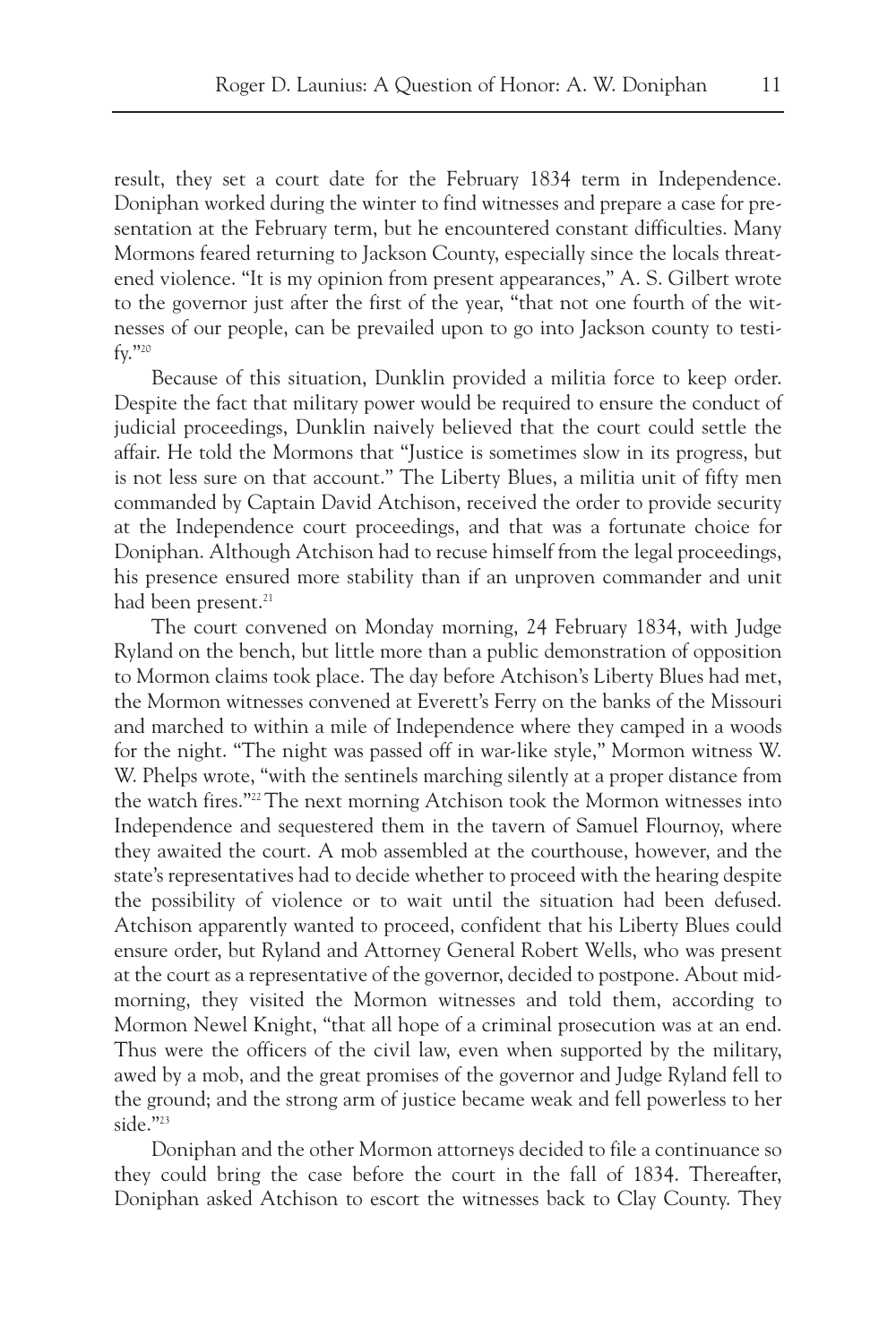result, they set a court date for the February 1834 term in Independence. Doniphan worked during the winter to find witnesses and prepare a case for presentation at the February term, but he encountered constant difficulties. Many Mormons feared returning to Jackson County, especially since the locals threatened violence. "It is my opinion from present appearances," A. S. Gilbert wrote to the governor just after the first of the year, "that not one fourth of the witnesses of our people, can be prevailed upon to go into Jackson county to testify."20

Because of this situation, Dunklin provided a militia force to keep order. Despite the fact that military power would be required to ensure the conduct of judicial proceedings, Dunklin naively believed that the court could settle the affair. He told the Mormons that "Justice is sometimes slow in its progress, but is not less sure on that account." The Liberty Blues, a militia unit of fifty men commanded by Captain David Atchison, received the order to provide security at the Independence court proceedings, and that was a fortunate choice for Doniphan. Although Atchison had to recuse himself from the legal proceedings, his presence ensured more stability than if an unproven commander and unit had been present.<sup>21</sup>

The court convened on Monday morning, 24 February 1834, with Judge Ryland on the bench, but little more than a public demonstration of opposition to Mormon claims took place. The day before Atchison's Liberty Blues had met, the Mormon witnesses convened at Everett's Ferry on the banks of the Missouri and marched to within a mile of Independence where they camped in a woods for the night. "The night was passed off in war-like style," Mormon witness W. W. Phelps wrote, "with the sentinels marching silently at a proper distance from the watch fires."22 The next morning Atchison took the Mormon witnesses into Independence and sequestered them in the tavern of Samuel Flournoy, where they awaited the court. A mob assembled at the courthouse, however, and the state's representatives had to decide whether to proceed with the hearing despite the possibility of violence or to wait until the situation had been defused. Atchison apparently wanted to proceed, confident that his Liberty Blues could ensure order, but Ryland and Attorney General Robert Wells, who was present at the court as a representative of the governor, decided to postpone. About midmorning, they visited the Mormon witnesses and told them, according to Mormon Newel Knight, "that all hope of a criminal prosecution was at an end. Thus were the officers of the civil law, even when supported by the military, awed by a mob, and the great promises of the governor and Judge Ryland fell to the ground; and the strong arm of justice became weak and fell powerless to her side."<sup>23</sup>

Doniphan and the other Mormon attorneys decided to file a continuance so they could bring the case before the court in the fall of 1834. Thereafter, Doniphan asked Atchison to escort the witnesses back to Clay County. They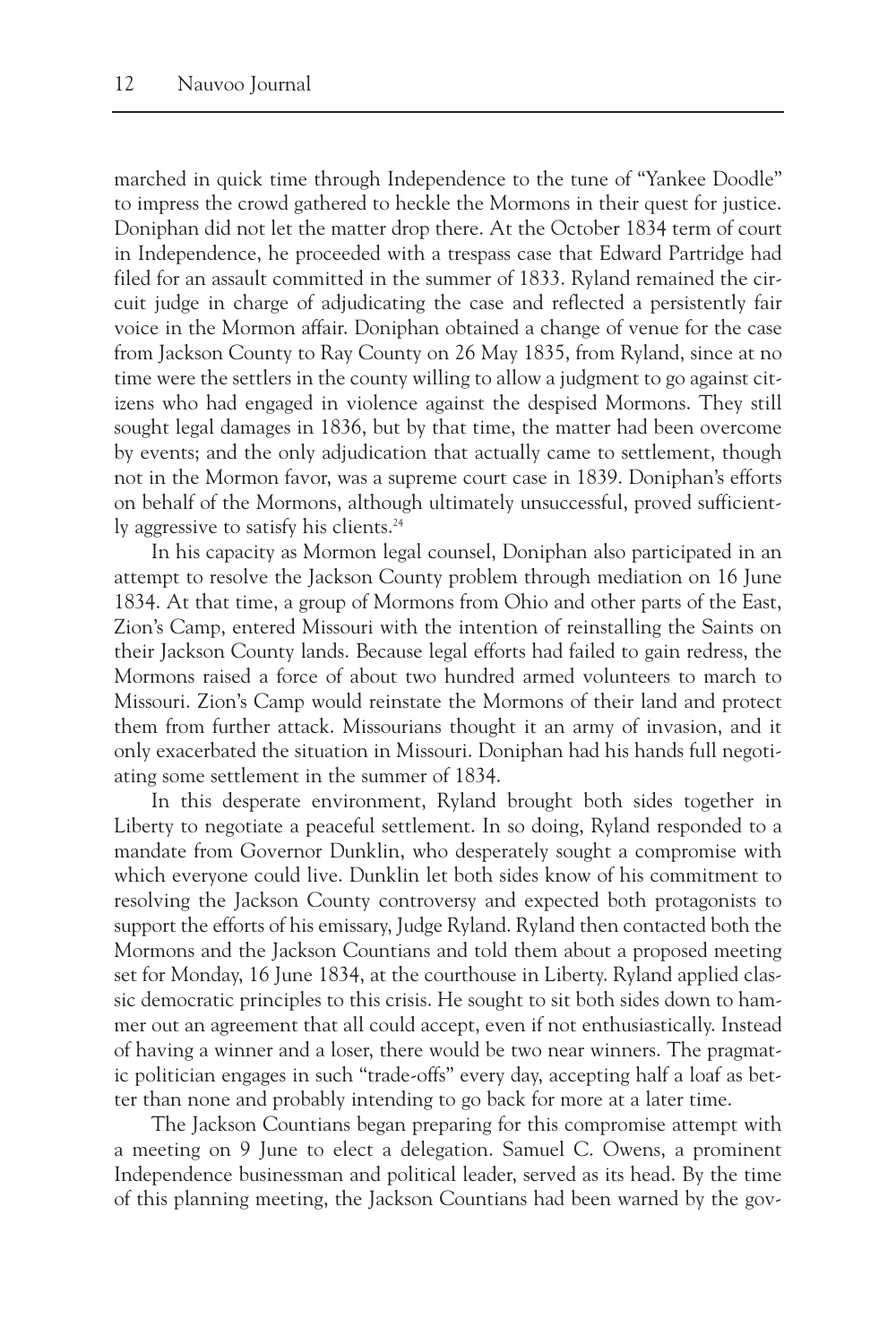marched in quick time through Independence to the tune of "Yankee Doodle" to impress the crowd gathered to heckle the Mormons in their quest for justice. Doniphan did not let the matter drop there. At the October 1834 term of court in Independence, he proceeded with a trespass case that Edward Partridge had filed for an assault committed in the summer of 1833. Ryland remained the circuit judge in charge of adjudicating the case and reflected a persistently fair voice in the Mormon affair. Doniphan obtained a change of venue for the case from Jackson County to Ray County on 26 May 1835, from Ryland, since at no time were the settlers in the county willing to allow a judgment to go against citizens who had engaged in violence against the despised Mormons. They still sought legal damages in 1836, but by that time, the matter had been overcome by events; and the only adjudication that actually came to settlement, though not in the Mormon favor, was a supreme court case in 1839. Doniphan's efforts on behalf of the Mormons, although ultimately unsuccessful, proved sufficiently aggressive to satisfy his clients.24

In his capacity as Mormon legal counsel, Doniphan also participated in an attempt to resolve the Jackson County problem through mediation on 16 June 1834. At that time, a group of Mormons from Ohio and other parts of the East, Zion's Camp, entered Missouri with the intention of reinstalling the Saints on their Jackson County lands. Because legal efforts had failed to gain redress, the Mormons raised a force of about two hundred armed volunteers to march to Missouri. Zion's Camp would reinstate the Mormons of their land and protect them from further attack. Missourians thought it an army of invasion, and it only exacerbated the situation in Missouri. Doniphan had his hands full negotiating some settlement in the summer of 1834.

In this desperate environment, Ryland brought both sides together in Liberty to negotiate a peaceful settlement. In so doing, Ryland responded to a mandate from Governor Dunklin, who desperately sought a compromise with which everyone could live. Dunklin let both sides know of his commitment to resolving the Jackson County controversy and expected both protagonists to support the efforts of his emissary, Judge Ryland. Ryland then contacted both the Mormons and the Jackson Countians and told them about a proposed meeting set for Monday, 16 June 1834, at the courthouse in Liberty. Ryland applied classic democratic principles to this crisis. He sought to sit both sides down to hammer out an agreement that all could accept, even if not enthusiastically. Instead of having a winner and a loser, there would be two near winners. The pragmatic politician engages in such "trade-offs" every day, accepting half a loaf as better than none and probably intending to go back for more at a later time.

The Jackson Countians began preparing for this compromise attempt with a meeting on 9 June to elect a delegation. Samuel C. Owens, a prominent Independence businessman and political leader, served as its head. By the time of this planning meeting, the Jackson Countians had been warned by the gov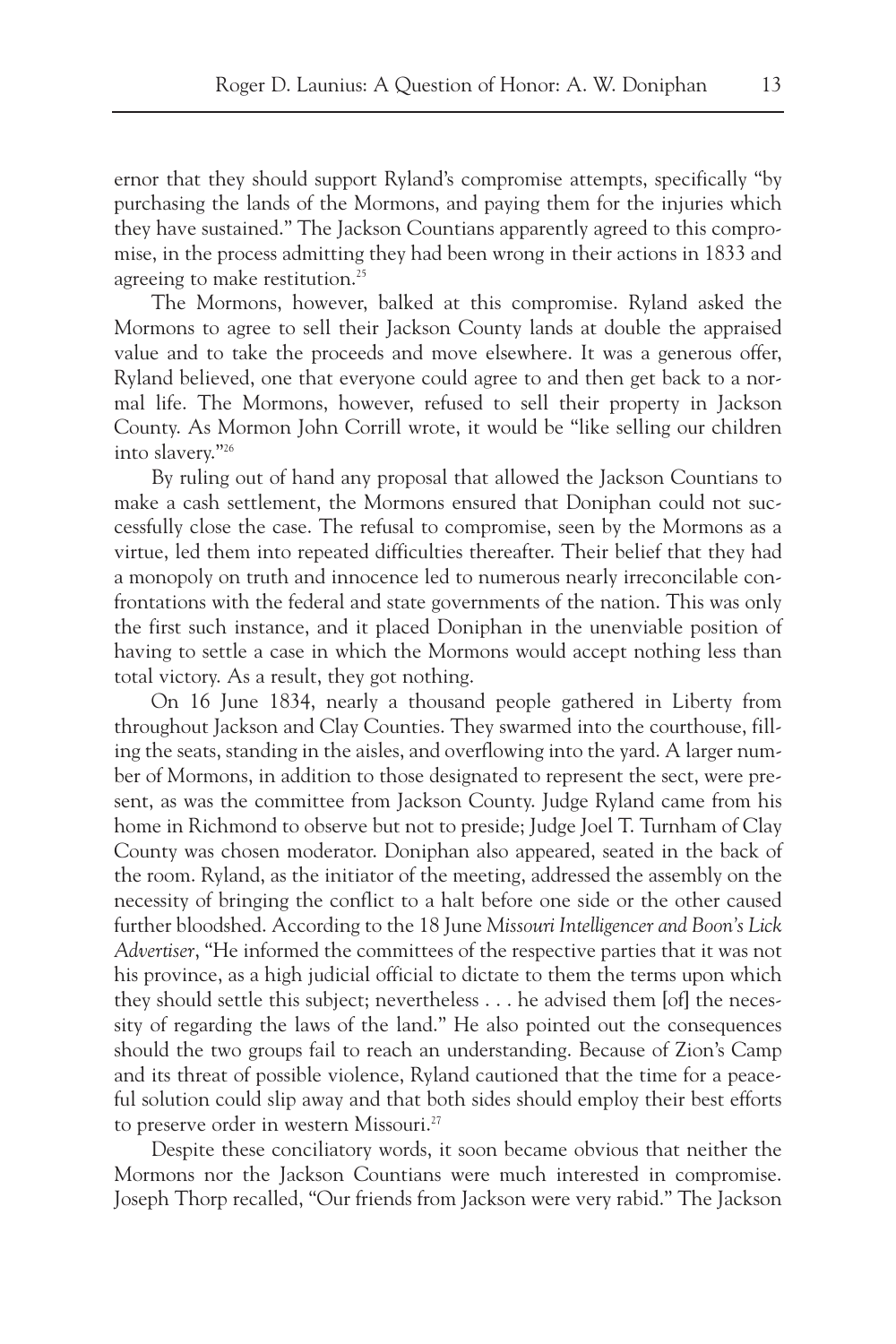ernor that they should support Ryland's compromise attempts, specifically "by purchasing the lands of the Mormons, and paying them for the injuries which they have sustained." The Jackson Countians apparently agreed to this compromise, in the process admitting they had been wrong in their actions in 1833 and agreeing to make restitution.<sup>25</sup>

The Mormons, however, balked at this compromise. Ryland asked the Mormons to agree to sell their Jackson County lands at double the appraised value and to take the proceeds and move elsewhere. It was a generous offer, Ryland believed, one that everyone could agree to and then get back to a normal life. The Mormons, however, refused to sell their property in Jackson County. As Mormon John Corrill wrote, it would be "like selling our children into slavery."26

By ruling out of hand any proposal that allowed the Jackson Countians to make a cash settlement, the Mormons ensured that Doniphan could not successfully close the case. The refusal to compromise, seen by the Mormons as a virtue, led them into repeated difficulties thereafter. Their belief that they had a monopoly on truth and innocence led to numerous nearly irreconcilable confrontations with the federal and state governments of the nation. This was only the first such instance, and it placed Doniphan in the unenviable position of having to settle a case in which the Mormons would accept nothing less than total victory. As a result, they got nothing.

On 16 June 1834, nearly a thousand people gathered in Liberty from throughout Jackson and Clay Counties. They swarmed into the courthouse, filling the seats, standing in the aisles, and overflowing into the yard. A larger number of Mormons, in addition to those designated to represent the sect, were present, as was the committee from Jackson County. Judge Ryland came from his home in Richmond to observe but not to preside; Judge Joel T. Turnham of Clay County was chosen moderator. Doniphan also appeared, seated in the back of the room. Ryland, as the initiator of the meeting, addressed the assembly on the necessity of bringing the conflict to a halt before one side or the other caused further bloodshed. According to the 18 June *Missouri Intelligencer and Boon's Lick Advertiser*, "He informed the committees of the respective parties that it was not his province, as a high judicial official to dictate to them the terms upon which they should settle this subject; nevertheless . . . he advised them [of] the necessity of regarding the laws of the land." He also pointed out the consequences should the two groups fail to reach an understanding. Because of Zion's Camp and its threat of possible violence, Ryland cautioned that the time for a peaceful solution could slip away and that both sides should employ their best efforts to preserve order in western Missouri.<sup>27</sup>

Despite these conciliatory words, it soon became obvious that neither the Mormons nor the Jackson Countians were much interested in compromise. Joseph Thorp recalled, "Our friends from Jackson were very rabid." The Jackson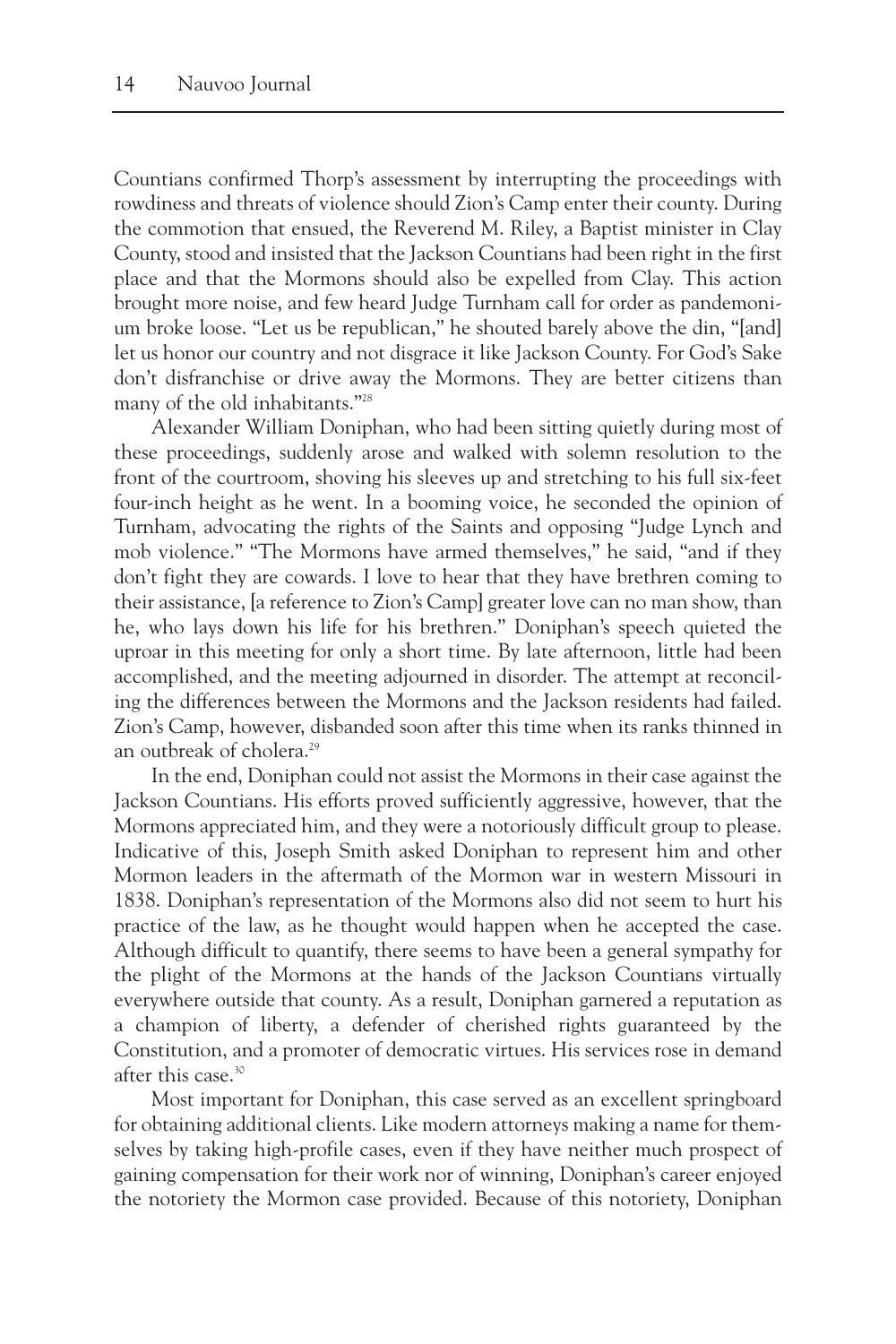Countians confirmed Thorp's assessment by interrupting the proceedings with rowdiness and threats of violence should Zion's Camp enter their county. During the commotion that ensued, the Reverend M. Riley, a Baptist minister in Clay County, stood and insisted that the Jackson Countians had been right in the first place and that the Mormons should also be expelled from Clay. This action brought more noise, and few heard Judge Turnham call for order as pandemonium broke loose. "Let us be republican," he shouted barely above the din, "[and] let us honor our country and not disgrace it like Jackson County. For God's Sake don't disfranchise or drive away the Mormons. They are better citizens than many of the old inhabitants."28

Alexander William Doniphan, who had been sitting quietly during most of these proceedings, suddenly arose and walked with solemn resolution to the front of the courtroom, shoving his sleeves up and stretching to his full six-feet four-inch height as he went. In a booming voice, he seconded the opinion of Turnham, advocating the rights of the Saints and opposing "Judge Lynch and mob violence." "The Mormons have armed themselves," he said, "and if they don't fight they are cowards. I love to hear that they have brethren coming to their assistance, [a reference to Zion's Camp] greater love can no man show, than he, who lays down his life for his brethren." Doniphan's speech quieted the uproar in this meeting for only a short time. By late afternoon, little had been accomplished, and the meeting adjourned in disorder. The attempt at reconciling the differences between the Mormons and the Jackson residents had failed. Zion's Camp, however, disbanded soon after this time when its ranks thinned in an outbreak of cholera.<sup>29</sup>

In the end, Doniphan could not assist the Mormons in their case against the Jackson Countians. His efforts proved sufficiently aggressive, however, that the Mormons appreciated him, and they were a notoriously difficult group to please. Indicative of this, Joseph Smith asked Doniphan to represent him and other Mormon leaders in the aftermath of the Mormon war in western Missouri in 1838. Doniphan's representation of the Mormons also did not seem to hurt his practice of the law, as he thought would happen when he accepted the case. Although difficult to quantify, there seems to have been a general sympathy for the plight of the Mormons at the hands of the Jackson Countians virtually everywhere outside that county. As a result, Doniphan garnered a reputation as a champion of liberty, a defender of cherished rights guaranteed by the Constitution, and a promoter of democratic virtues. His services rose in demand after this case.30

Most important for Doniphan, this case served as an excellent springboard for obtaining additional clients. Like modern attorneys making a name for themselves by taking high-profile cases, even if they have neither much prospect of gaining compensation for their work nor of winning, Doniphan's career enjoyed the notoriety the Mormon case provided. Because of this notoriety, Doniphan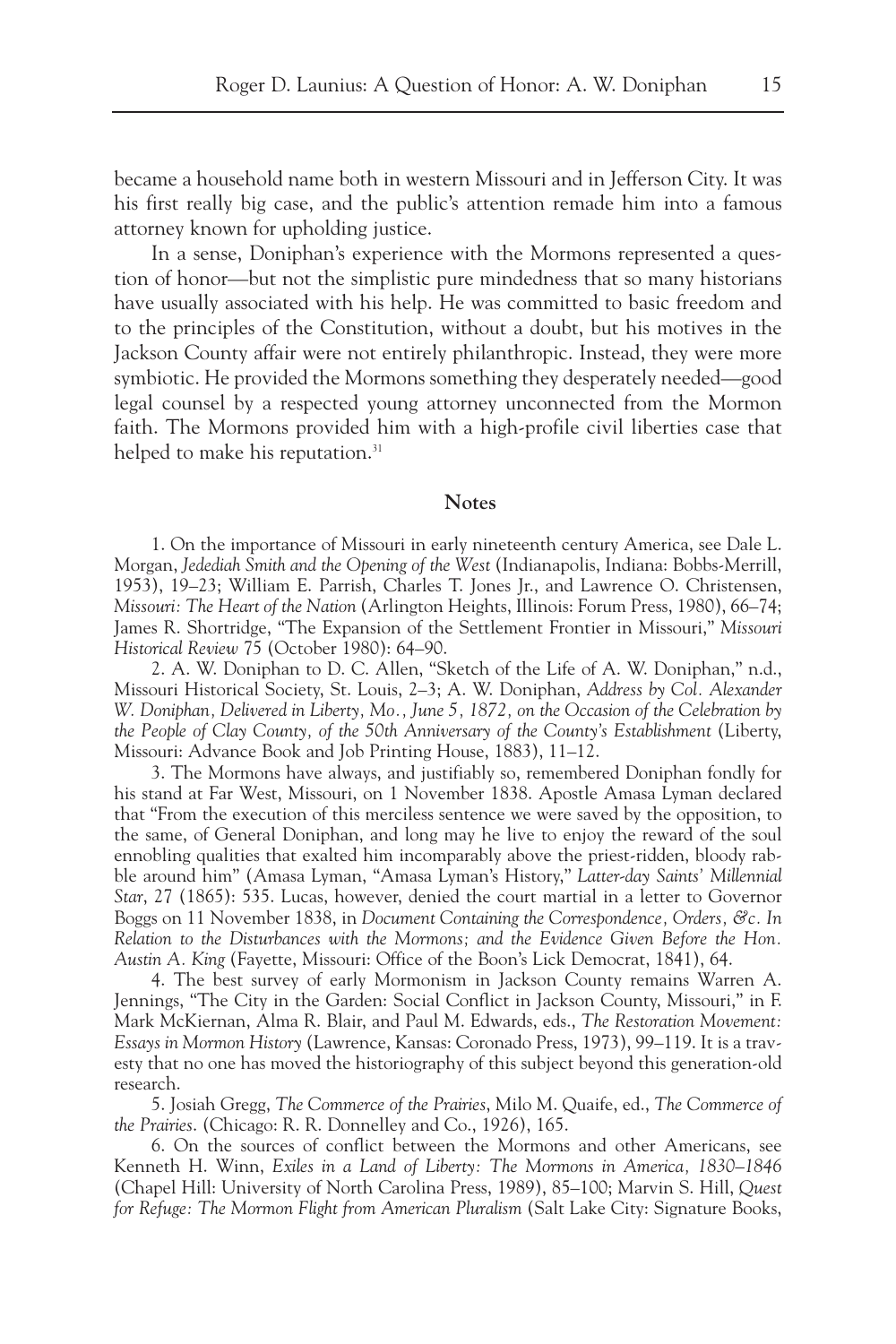became a household name both in western Missouri and in Jefferson City. It was his first really big case, and the public's attention remade him into a famous attorney known for upholding justice.

In a sense, Doniphan's experience with the Mormons represented a question of honor—but not the simplistic pure mindedness that so many historians have usually associated with his help. He was committed to basic freedom and to the principles of the Constitution, without a doubt, but his motives in the Jackson County affair were not entirely philanthropic. Instead, they were more symbiotic. He provided the Mormons something they desperately needed—good legal counsel by a respected young attorney unconnected from the Mormon faith. The Mormons provided him with a high-profile civil liberties case that helped to make his reputation.<sup>31</sup>

## **Notes**

1. On the importance of Missouri in early nineteenth century America, see Dale L. Morgan, *Jedediah Smith and the Opening of the West* (Indianapolis, Indiana: Bobbs-Merrill, 1953), 19–23; William E. Parrish, Charles T. Jones Jr., and Lawrence O. Christensen, *Missouri: The Heart of the Nation* (Arlington Heights, Illinois: Forum Press, 1980), 66–74; James R. Shortridge, "The Expansion of the Settlement Frontier in Missouri," *Missouri Historical Review* 75 (October 1980): 64–90.

2. A. W. Doniphan to D. C. Allen, "Sketch of the Life of A. W. Doniphan," n.d., Missouri Historical Society, St. Louis, 2–3; A. W. Doniphan, *Address by Col. Alexander W. Doniphan, Delivered in Liberty, Mo., June 5, 1872, on the Occasion of the Celebration by the People of Clay County, of the 50th Anniversary of the County's Establishment* (Liberty, Missouri: Advance Book and Job Printing House, 1883), 11–12.

3. The Mormons have always, and justifiably so, remembered Doniphan fondly for his stand at Far West, Missouri, on 1 November 1838. Apostle Amasa Lyman declared that "From the execution of this merciless sentence we were saved by the opposition, to the same, of General Doniphan, and long may he live to enjoy the reward of the soul ennobling qualities that exalted him incomparably above the priest-ridden, bloody rabble around him" (Amasa Lyman, "Amasa Lyman's History," *Latter-day Saints' Millennial Star*, 27 (1865): 535. Lucas, however, denied the court martial in a letter to Governor Boggs on 11 November 1838, in *Document Containing the Correspondence, Orders, &c. In Relation to the Disturbances with the Mormons; and the Evidence Given Before the Hon. Austin A. King* (Fayette, Missouri: Office of the Boon's Lick Democrat, 1841), 64.

4. The best survey of early Mormonism in Jackson County remains Warren A. Jennings, "The City in the Garden: Social Conflict in Jackson County, Missouri," in F. Mark McKiernan, Alma R. Blair, and Paul M. Edwards, eds., *The Restoration Movement: Essays in Mormon History* (Lawrence, Kansas: Coronado Press, 1973), 99–119. It is a travesty that no one has moved the historiography of this subject beyond this generation-old research.

5. Josiah Gregg, *The Commerce of the Prairies*, Milo M. Quaife, ed., *The Commerce of the Prairies*. (Chicago: R. R. Donnelley and Co., 1926), 165.

6. On the sources of conflict between the Mormons and other Americans, see Kenneth H. Winn, *Exiles in a Land of Liberty: The Mormons in America, 1830–1846* (Chapel Hill: University of North Carolina Press, 1989), 85–100; Marvin S. Hill, *Quest for Refuge: The Mormon Flight from American Pluralism* (Salt Lake City: Signature Books,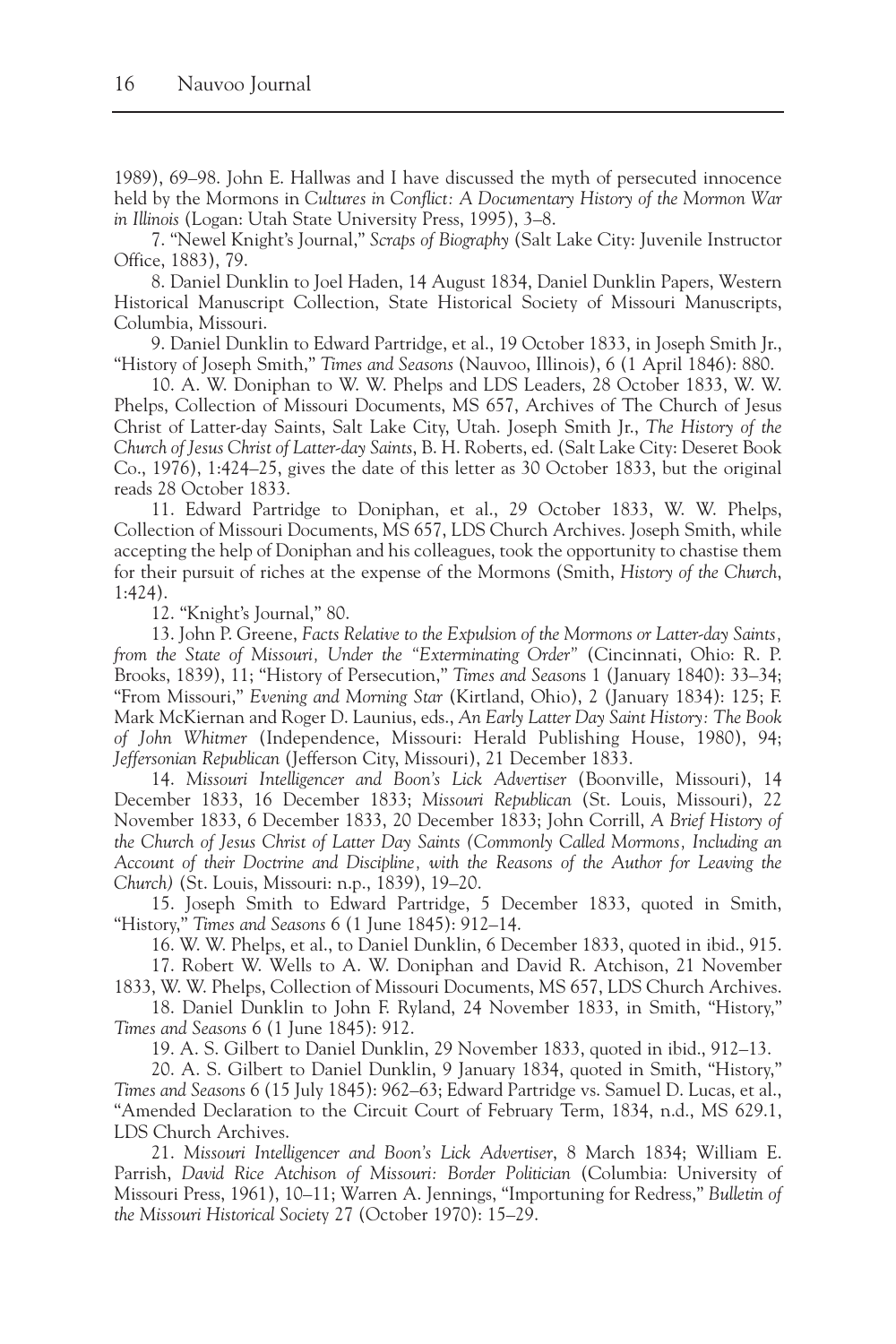1989), 69–98. John E. Hallwas and I have discussed the myth of persecuted innocence held by the Mormons in *Cultures in Conflict: A Documentary History of the Mormon War in Illinois* (Logan: Utah State University Press, 1995), 3–8.

7. "Newel Knight's Journal," *Scraps of Biography* (Salt Lake City: Juvenile Instructor Office, 1883), 79.

8. Daniel Dunklin to Joel Haden, 14 August 1834, Daniel Dunklin Papers, Western Historical Manuscript Collection, State Historical Society of Missouri Manuscripts, Columbia, Missouri.

9. Daniel Dunklin to Edward Partridge, et al., 19 October 1833, in Joseph Smith Jr., "History of Joseph Smith," *Times and Seasons* (Nauvoo, Illinois), 6 (1 April 1846): 880.

10. A. W. Doniphan to W. W. Phelps and LDS Leaders, 28 October 1833, W. W. Phelps, Collection of Missouri Documents, MS 657, Archives of The Church of Jesus Christ of Latter-day Saints, Salt Lake City, Utah. Joseph Smith Jr., *The History of the Church of Jesus Christ of Latter-day Saints*, B. H. Roberts, ed. (Salt Lake City: Deseret Book Co., 1976), 1:424–25, gives the date of this letter as 30 October 1833, but the original reads 28 October 1833.

11. Edward Partridge to Doniphan, et al., 29 October 1833, W. W. Phelps, Collection of Missouri Documents, MS 657, LDS Church Archives. Joseph Smith, while accepting the help of Doniphan and his colleagues, took the opportunity to chastise them for their pursuit of riches at the expense of the Mormons (Smith, *History of the Church*, 1:424).

12. "Knight's Journal," 80.

13. John P. Greene, *Facts Relative to the Expulsion of the Mormons or Latter-day Saints, from the State of Missouri, Under the "Exterminating Order"* (Cincinnati, Ohio: R. P. Brooks, 1839), 11; "History of Persecution," *Times and Season*s 1 (January 1840): 33–34; "From Missouri," *Evening and Morning Star* (Kirtland, Ohio), 2 (January 1834): 125; F. Mark McKiernan and Roger D. Launius, eds., *An Early Latter Day Saint History: The Book of John Whitmer* (Independence, Missouri: Herald Publishing House, 1980), 94; *Jeffersonian Republican* (Jefferson City, Missouri), 21 December 1833.

14. *Missouri Intelligencer and Boon's Lick Advertiser* (Boonville, Missouri), 14 December 1833, 16 December 1833; *Missouri Republican* (St. Louis, Missouri), 22 November 1833, 6 December 1833, 20 December 1833; John Corrill, *A Brief History of the Church of Jesus Christ of Latter Day Saints (Commonly Called Mormons, Including an Account of their Doctrine and Discipline, with the Reasons of the Author for Leaving the Church)* (St. Louis, Missouri: n.p., 1839), 19–20.

15. Joseph Smith to Edward Partridge, 5 December 1833, quoted in Smith, "History," *Times and Seasons* 6 (1 June 1845): 912–14.

16. W. W. Phelps, et al., to Daniel Dunklin, 6 December 1833, quoted in ibid., 915.

17. Robert W. Wells to A. W. Doniphan and David R. Atchison, 21 November 1833, W. W. Phelps, Collection of Missouri Documents, MS 657, LDS Church Archives.

18. Daniel Dunklin to John F. Ryland, 24 November 1833, in Smith, "History," *Times and Seasons* 6 (1 June 1845): 912.

19. A. S. Gilbert to Daniel Dunklin, 29 November 1833, quoted in ibid., 912–13.

20. A. S. Gilbert to Daniel Dunklin, 9 January 1834, quoted in Smith, "History," *Times and Seasons* 6 (15 July 1845): 962–63; Edward Partridge vs. Samuel D. Lucas, et al., "Amended Declaration to the Circuit Court of February Term, 1834, n.d., MS 629.1, LDS Church Archives.

21. *Missouri Intelligencer and Boon's Lick Advertiser*, 8 March 1834; William E. Parrish, *David Rice Atchison of Missouri: Border Politician* (Columbia: University of Missouri Press, 1961), 10–11; Warren A. Jennings, "Importuning for Redress," *Bulletin of the Missouri Historical Societ*y 27 (October 1970): 15–29.